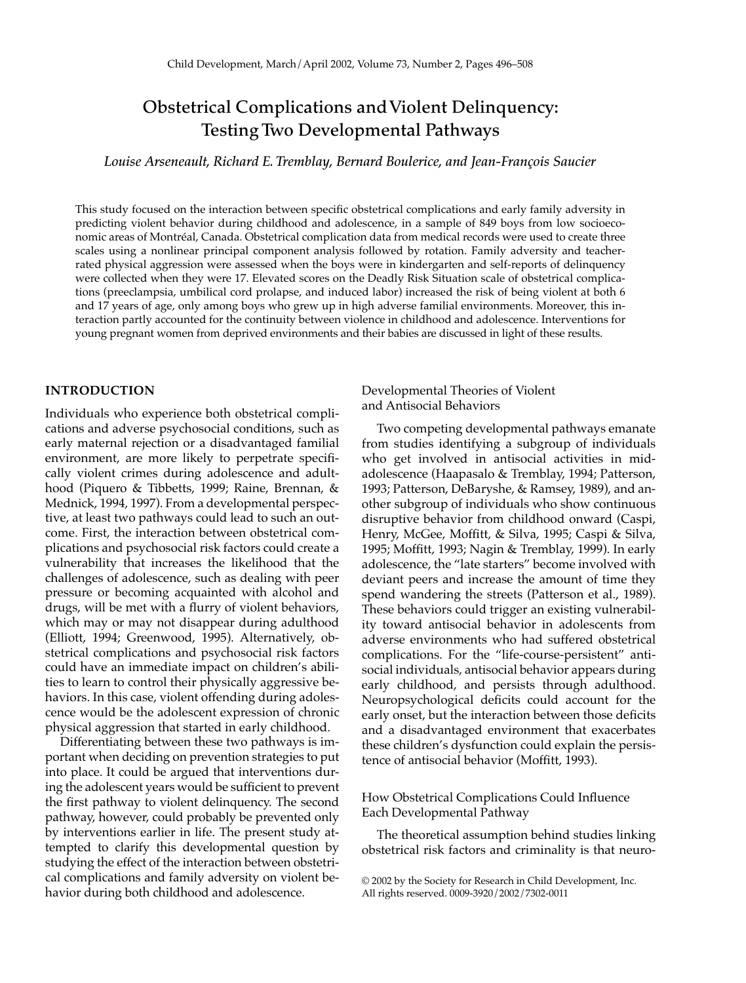# **Obstetrical Complications and Violent Delinquency: Testing Two Developmental Pathways**

*Louise Arseneault, Richard E. Tremblay, Bernard Boulerice, and Jean-François Saucier*

This study focused on the interaction between specific obstetrical complications and early family adversity in predicting violent behavior during childhood and adolescence, in a sample of 849 boys from low socioeconomic areas of Montréal, Canada. Obstetrical complication data from medical records were used to create three scales using a nonlinear principal component analysis followed by rotation. Family adversity and teacherrated physical aggression were assessed when the boys were in kindergarten and self-reports of delinquency were collected when they were 17. Elevated scores on the Deadly Risk Situation scale of obstetrical complications (preeclampsia, umbilical cord prolapse, and induced labor) increased the risk of being violent at both 6 and 17 years of age, only among boys who grew up in high adverse familial environments. Moreover, this interaction partly accounted for the continuity between violence in childhood and adolescence. Interventions for young pregnant women from deprived environments and their babies are discussed in light of these results.

# **INTRODUCTION**

Individuals who experience both obstetrical complications and adverse psychosocial conditions, such as early maternal rejection or a disadvantaged familial environment, are more likely to perpetrate specifically violent crimes during adolescence and adulthood (Piquero & Tibbetts, 1999; Raine, Brennan, & Mednick, 1994, 1997). From a developmental perspective, at least two pathways could lead to such an outcome. First, the interaction between obstetrical complications and psychosocial risk factors could create a vulnerability that increases the likelihood that the challenges of adolescence, such as dealing with peer pressure or becoming acquainted with alcohol and drugs, will be met with a flurry of violent behaviors, which may or may not disappear during adulthood (Elliott, 1994; Greenwood, 1995). Alternatively, obstetrical complications and psychosocial risk factors could have an immediate impact on children's abilities to learn to control their physically aggressive behaviors. In this case, violent offending during adolescence would be the adolescent expression of chronic physical aggression that started in early childhood.

Differentiating between these two pathways is important when deciding on prevention strategies to put into place. It could be argued that interventions during the adolescent years would be sufficient to prevent the first pathway to violent delinquency. The second pathway, however, could probably be prevented only by interventions earlier in life. The present study attempted to clarify this developmental question by studying the effect of the interaction between obstetrical complications and family adversity on violent behavior during both childhood and adolescence.

Developmental Theories of Violent and Antisocial Behaviors

Two competing developmental pathways emanate from studies identifying a subgroup of individuals who get involved in antisocial activities in midadolescence (Haapasalo & Tremblay, 1994; Patterson, 1993; Patterson, DeBaryshe, & Ramsey, 1989), and another subgroup of individuals who show continuous disruptive behavior from childhood onward (Caspi, Henry, McGee, Moffitt, & Silva, 1995; Caspi & Silva, 1995; Moffitt, 1993; Nagin & Tremblay, 1999). In early adolescence, the "late starters" become involved with deviant peers and increase the amount of time they spend wandering the streets (Patterson et al., 1989). These behaviors could trigger an existing vulnerability toward antisocial behavior in adolescents from adverse environments who had suffered obstetrical complications. For the "life-course-persistent" antisocial individuals, antisocial behavior appears during early childhood, and persists through adulthood. Neuropsychological deficits could account for the early onset, but the interaction between those deficits and a disadvantaged environment that exacerbates these children's dysfunction could explain the persistence of antisocial behavior (Moffitt, 1993).

# How Obstetrical Complications Could Influence Each Developmental Pathway

The theoretical assumption behind studies linking obstetrical risk factors and criminality is that neuro-

<sup>© 2002</sup> by the Society for Research in Child Development, Inc. All rights reserved. 0009-3920/2002/7302-0011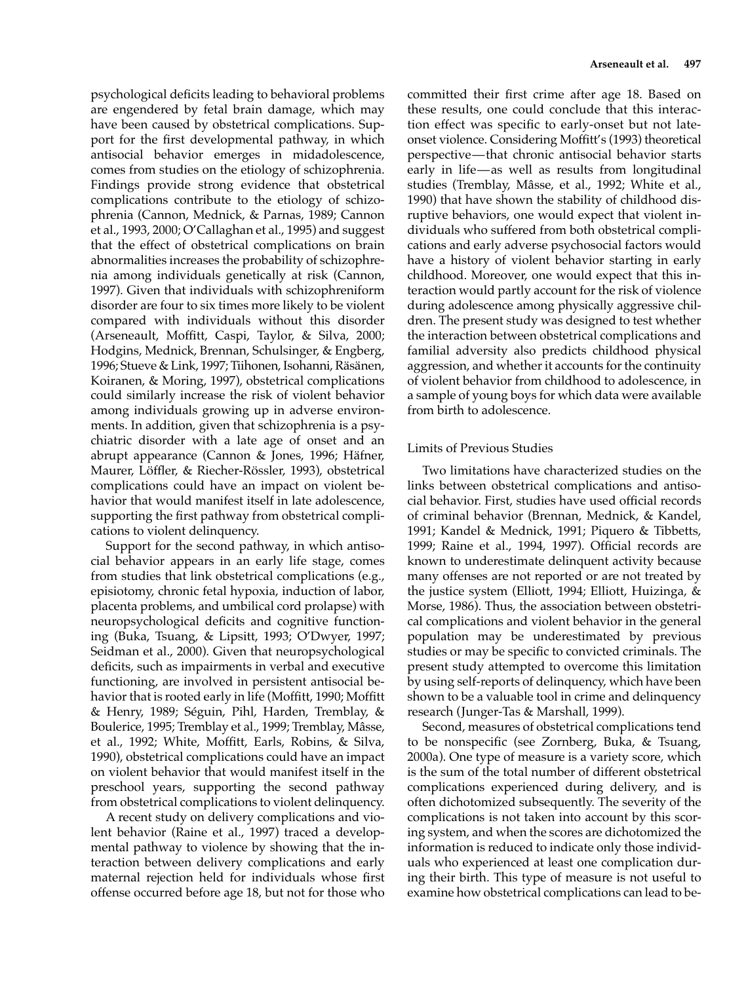psychological deficits leading to behavioral problems are engendered by fetal brain damage, which may have been caused by obstetrical complications. Support for the first developmental pathway, in which antisocial behavior emerges in midadolescence, comes from studies on the etiology of schizophrenia. Findings provide strong evidence that obstetrical complications contribute to the etiology of schizophrenia (Cannon, Mednick, & Parnas, 1989; Cannon et al., 1993, 2000; O'Callaghan et al., 1995) and suggest that the effect of obstetrical complications on brain abnormalities increases the probability of schizophrenia among individuals genetically at risk (Cannon, 1997). Given that individuals with schizophreniform disorder are four to six times more likely to be violent compared with individuals without this disorder (Arseneault, Moffitt, Caspi, Taylor, & Silva, 2000; Hodgins, Mednick, Brennan, Schulsinger, & Engberg, 1996; Stueve & Link, 1997; Tiihonen, Isohanni, Räsänen, Koiranen, & Moring, 1997), obstetrical complications could similarly increase the risk of violent behavior among individuals growing up in adverse environments. In addition, given that schizophrenia is a psychiatric disorder with a late age of onset and an abrupt appearance (Cannon & Jones, 1996; Häfner, Maurer, Löffler, & Riecher-Rössler, 1993), obstetrical complications could have an impact on violent behavior that would manifest itself in late adolescence, supporting the first pathway from obstetrical complications to violent delinquency.

Support for the second pathway, in which antisocial behavior appears in an early life stage, comes from studies that link obstetrical complications (e.g., episiotomy, chronic fetal hypoxia, induction of labor, placenta problems, and umbilical cord prolapse) with neuropsychological deficits and cognitive functioning (Buka, Tsuang, & Lipsitt, 1993; O'Dwyer, 1997; Seidman et al., 2000). Given that neuropsychological deficits, such as impairments in verbal and executive functioning, are involved in persistent antisocial behavior that is rooted early in life (Moffitt, 1990; Moffitt & Henry, 1989; Séguin, Pihl, Harden, Tremblay, & Boulerice, 1995; Tremblay et al., 1999; Tremblay, Mâsse, et al., 1992; White, Moffitt, Earls, Robins, & Silva, 1990), obstetrical complications could have an impact on violent behavior that would manifest itself in the preschool years, supporting the second pathway from obstetrical complications to violent delinquency.

A recent study on delivery complications and violent behavior (Raine et al., 1997) traced a developmental pathway to violence by showing that the interaction between delivery complications and early maternal rejection held for individuals whose first offense occurred before age 18, but not for those who

committed their first crime after age 18. Based on these results, one could conclude that this interaction effect was specific to early-onset but not lateonset violence. Considering Moffitt's (1993) theoretical perspective— that chronic antisocial behavior starts early in life—as well as results from longitudinal studies (Tremblay, Mâsse, et al., 1992; White et al., 1990) that have shown the stability of childhood disruptive behaviors, one would expect that violent individuals who suffered from both obstetrical complications and early adverse psychosocial factors would have a history of violent behavior starting in early childhood. Moreover, one would expect that this interaction would partly account for the risk of violence during adolescence among physically aggressive children. The present study was designed to test whether the interaction between obstetrical complications and familial adversity also predicts childhood physical aggression, and whether it accounts for the continuity of violent behavior from childhood to adolescence, in a sample of young boys for which data were available from birth to adolescence.

### Limits of Previous Studies

Two limitations have characterized studies on the links between obstetrical complications and antisocial behavior. First, studies have used official records of criminal behavior (Brennan, Mednick, & Kandel, 1991; Kandel & Mednick, 1991; Piquero & Tibbetts, 1999; Raine et al., 1994, 1997). Official records are known to underestimate delinquent activity because many offenses are not reported or are not treated by the justice system (Elliott, 1994; Elliott, Huizinga, & Morse, 1986). Thus, the association between obstetrical complications and violent behavior in the general population may be underestimated by previous studies or may be specific to convicted criminals. The present study attempted to overcome this limitation by using self-reports of delinquency, which have been shown to be a valuable tool in crime and delinquency research (Junger-Tas & Marshall, 1999).

Second, measures of obstetrical complications tend to be nonspecific (see Zornberg, Buka, & Tsuang, 2000a). One type of measure is a variety score, which is the sum of the total number of different obstetrical complications experienced during delivery, and is often dichotomized subsequently. The severity of the complications is not taken into account by this scoring system, and when the scores are dichotomized the information is reduced to indicate only those individuals who experienced at least one complication during their birth. This type of measure is not useful to examine how obstetrical complications can lead to be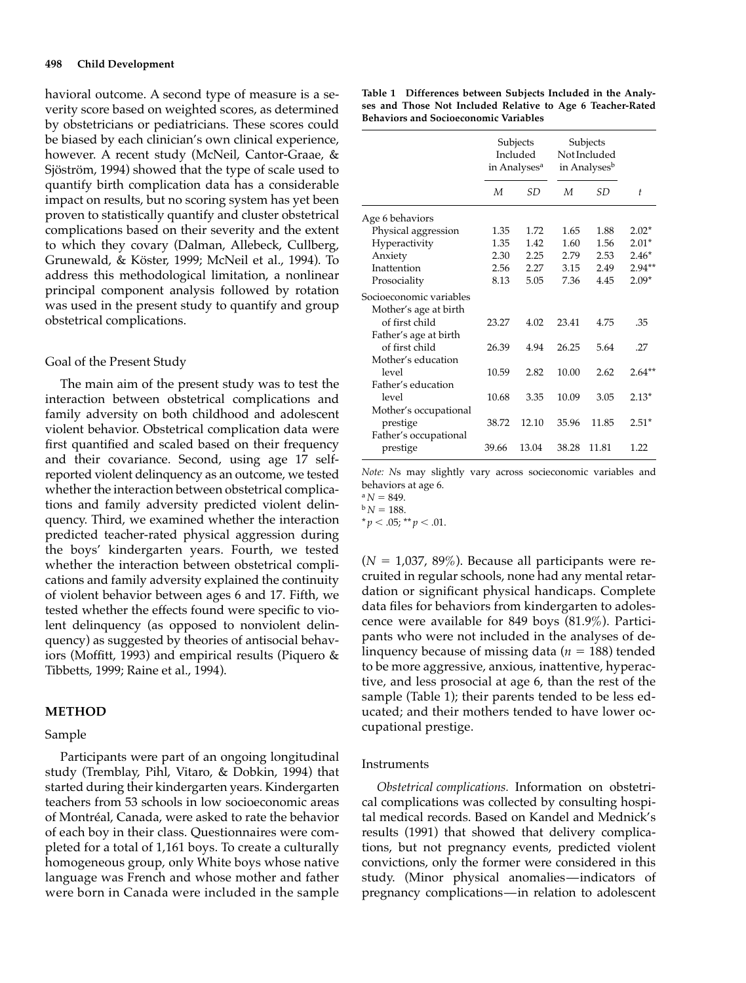havioral outcome. A second type of measure is a severity score based on weighted scores, as determined by obstetricians or pediatricians. These scores could be biased by each clinician's own clinical experience, however. A recent study (McNeil, Cantor-Graae, & Sjöström, 1994) showed that the type of scale used to quantify birth complication data has a considerable impact on results, but no scoring system has yet been proven to statistically quantify and cluster obstetrical complications based on their severity and the extent to which they covary (Dalman, Allebeck, Cullberg, Grunewald, & Köster, 1999; McNeil et al., 1994). To address this methodological limitation, a nonlinear principal component analysis followed by rotation was used in the present study to quantify and group obstetrical complications.

#### Goal of the Present Study

The main aim of the present study was to test the interaction between obstetrical complications and family adversity on both childhood and adolescent violent behavior. Obstetrical complication data were first quantified and scaled based on their frequency and their covariance. Second, using age 17 selfreported violent delinquency as an outcome, we tested whether the interaction between obstetrical complications and family adversity predicted violent delinquency. Third, we examined whether the interaction predicted teacher-rated physical aggression during the boys' kindergarten years. Fourth, we tested whether the interaction between obstetrical complications and family adversity explained the continuity of violent behavior between ages 6 and 17. Fifth, we tested whether the effects found were specific to violent delinquency (as opposed to nonviolent delinquency) as suggested by theories of antisocial behaviors (Moffitt, 1993) and empirical results (Piquero & Tibbetts, 1999; Raine et al., 1994).

# **METHOD**

### Sample

Participants were part of an ongoing longitudinal study (Tremblay, Pihl, Vitaro, & Dobkin, 1994) that started during their kindergarten years. Kindergarten teachers from 53 schools in low socioeconomic areas of Montréal, Canada, were asked to rate the behavior of each boy in their class. Questionnaires were completed for a total of 1,161 boys. To create a culturally homogeneous group, only White boys whose native language was French and whose mother and father were born in Canada were included in the sample

| Table 1 Differences between Subjects Included in the Analy- |
|-------------------------------------------------------------|
| ses and Those Not Included Relative to Age 6 Teacher-Rated  |
| <b>Behaviors and Socioeconomic Variables</b>                |

|                                                  | Subjects<br>Included<br>in Analyses <sup>a</sup> |       | Subjects<br>Not Included<br>in Analyses <sup>b</sup> |       |           |
|--------------------------------------------------|--------------------------------------------------|-------|------------------------------------------------------|-------|-----------|
|                                                  | М                                                | SD.   | M                                                    | SD    | t         |
| Age 6 behaviors                                  |                                                  |       |                                                      |       |           |
| Physical aggression                              | 1.35                                             | 1.72  | 1.65                                                 | 1.88  | $2.02*$   |
| Hyperactivity                                    | 1.35                                             | 1.42  | 1.60                                                 | 1.56  | $2.01*$   |
| Anxiety                                          | 2.30                                             | 2.25  | 2.79                                                 | 2.53  | $2.46*$   |
| Inattention                                      | 2.56                                             | 2.27  | 3.15                                                 | 2.49  | $2.94**$  |
| Prosociality                                     | 8.13                                             | 5.05  | 7.36                                                 | 4.45  | $2.09*$   |
| Socioeconomic variables<br>Mother's age at birth |                                                  |       |                                                      |       |           |
| of first child                                   | 23.27                                            | 4.02  | 23.41                                                | 4.75  | .35       |
| Father's age at birth                            |                                                  |       |                                                      |       |           |
| of first child                                   | 26.39                                            | 4.94  | 26.25                                                | 5.64  | .27       |
| Mother's education                               |                                                  |       |                                                      |       |           |
| level                                            | 10.59                                            | 2.82  | 10.00                                                | 2.62  | $2.64***$ |
| Father's education                               |                                                  |       |                                                      |       |           |
| level                                            | 10.68                                            | 3.35  | 10.09                                                | 3.05  | $2.13*$   |
| Mother's occupational                            |                                                  |       |                                                      |       |           |
| prestige                                         | 38.72                                            | 12.10 | 35.96                                                | 11.85 | $2.51*$   |
| Father's occupational                            |                                                  |       |                                                      |       |           |
| prestige                                         | 39.66                                            | 13.04 | 38.28                                                | 11.81 | 1.22      |

*Note: N*s may slightly vary across socieconomic variables and behaviors at age 6.

 $A^a N = 849.$ 

 $b N = 188$ .

 $* p < .05; ** p < .01.$ 

 $(N = 1.037, 89\%)$ . Because all participants were recruited in regular schools, none had any mental retardation or significant physical handicaps. Complete data files for behaviors from kindergarten to adolescence were available for 849 boys (81.9%). Participants who were not included in the analyses of delinquency because of missing data ( $n = 188$ ) tended to be more aggressive, anxious, inattentive, hyperactive, and less prosocial at age 6, than the rest of the sample (Table 1); their parents tended to be less educated; and their mothers tended to have lower occupational prestige.

### Instruments

*Obstetrical complications.* Information on obstetrical complications was collected by consulting hospital medical records. Based on Kandel and Mednick's results (1991) that showed that delivery complications, but not pregnancy events, predicted violent convictions, only the former were considered in this study. (Minor physical anomalies—indicators of pregnancy complications—in relation to adolescent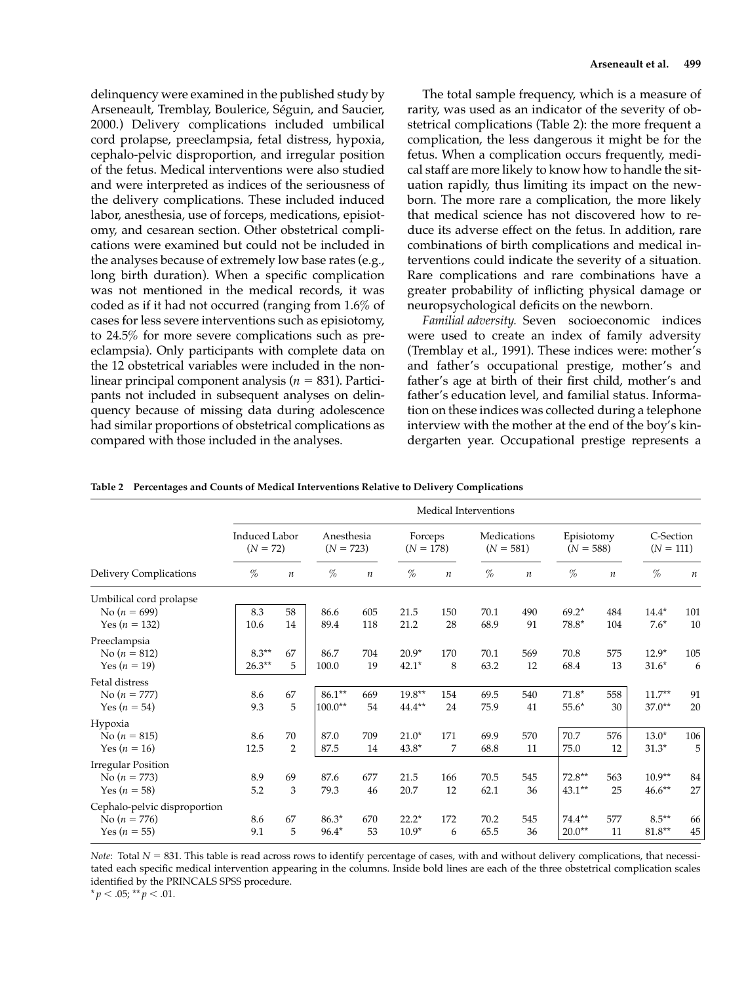delinquency were examined in the published study by Arseneault, Tremblay, Boulerice, Séguin, and Saucier, 2000.) Delivery complications included umbilical cord prolapse, preeclampsia, fetal distress, hypoxia, cephalo-pelvic disproportion, and irregular position of the fetus. Medical interventions were also studied and were interpreted as indices of the seriousness of the delivery complications. These included induced labor, anesthesia, use of forceps, medications, episiotomy, and cesarean section. Other obstetrical complications were examined but could not be included in the analyses because of extremely low base rates (e.g., long birth duration). When a specific complication was not mentioned in the medical records, it was coded as if it had not occurred (ranging from 1.6% of cases for less severe interventions such as episiotomy, to 24.5% for more severe complications such as preeclampsia). Only participants with complete data on the 12 obstetrical variables were included in the nonlinear principal component analysis ( $n = 831$ ). Participants not included in subsequent analyses on delinquency because of missing data during adolescence had similar proportions of obstetrical complications as compared with those included in the analyses.

The total sample frequency, which is a measure of rarity, was used as an indicator of the severity of obstetrical complications (Table 2): the more frequent a complication, the less dangerous it might be for the fetus. When a complication occurs frequently, medical staff are more likely to know how to handle the situation rapidly, thus limiting its impact on the newborn. The more rare a complication, the more likely that medical science has not discovered how to reduce its adverse effect on the fetus. In addition, rare combinations of birth complications and medical interventions could indicate the severity of a situation. Rare complications and rare combinations have a greater probability of inflicting physical damage or neuropsychological deficits on the newborn.

*Familial adversity.* Seven socioeconomic indices were used to create an index of family adversity (Tremblay et al., 1991). These indices were: mother's and father's occupational prestige, mother's and father's age at birth of their first child, mother's and father's education level, and familial status. Information on these indices was collected during a telephone interview with the mother at the end of the boy's kindergarten year. Occupational prestige represents a

|  | Table 2 Percentages and Counts of Medical Interventions Relative to Delivery Complications |  |  |
|--|--------------------------------------------------------------------------------------------|--|--|
|  |                                                                                            |  |  |

|                              | Medical Interventions              |         |                           |         |                        |                  |                            |                  |                           |         |                          |                  |
|------------------------------|------------------------------------|---------|---------------------------|---------|------------------------|------------------|----------------------------|------------------|---------------------------|---------|--------------------------|------------------|
|                              | <b>Induced Labor</b><br>$(N = 72)$ |         | Anesthesia<br>$(N = 723)$ |         | Forceps<br>$(N = 178)$ |                  | Medications<br>$(N = 581)$ |                  | Episiotomy<br>$(N = 588)$ |         | C-Section<br>$(N = 111)$ |                  |
| Delivery Complications       | $\%$                               | $\it n$ | %                         | $\it n$ | %                      | $\boldsymbol{n}$ | %                          | $\boldsymbol{n}$ | $\%$                      | $\it n$ | %                        | $\boldsymbol{n}$ |
| Umbilical cord prolapse      |                                    |         |                           |         |                        |                  |                            |                  |                           |         |                          |                  |
| No $(n = 699)$               | 8.3                                | 58      | 86.6                      | 605     | 21.5                   | 150              | 70.1                       | 490              | $69.2*$                   | 484     | $14.4*$                  | 101              |
| Yes $(n = 132)$              | 10.6                               | 14      | 89.4                      | 118     | 21.2                   | 28               | 68.9                       | 91               | $78.8*$                   | 104     | $7.6*$                   | 10               |
| Preeclampsia                 |                                    |         |                           |         |                        |                  |                            |                  |                           |         |                          |                  |
| No $(n = 812)$               | $8.3**$                            | 67      | 86.7                      | 704     | $20.9*$                | 170              | 70.1                       | 569              | 70.8                      | 575     | $12.9*$                  | 105              |
| Yes $(n = 19)$               | $26.3**$                           | 5       | 100.0                     | 19      | $42.1*$                | 8                | 63.2                       | 12               | 68.4                      | 13      | $31.6*$                  | 6                |
| Fetal distress               |                                    |         |                           |         |                        |                  |                            |                  |                           |         |                          |                  |
| No $(n = 777)$               | 8.6                                | 67      | $86.1**$                  | 669     | $19.8**$               | 154              | 69.5                       | 540              | $71.8*$                   | 558     | $11.7***$                | 91               |
| Yes $(n = 54)$               | 9.3                                | 5       | $100.0**$                 | 54      | $44.4***$              | 24               | 75.9                       | 41               | $55.6*$                   | 30      | $37.0**$                 | 20               |
| Hypoxia                      |                                    |         |                           |         |                        |                  |                            |                  |                           |         |                          |                  |
| No $(n = 815)$               | 8.6                                | 70      | 87.0                      | 709     | $21.0*$                | 171              | 69.9                       | 570              | 70.7                      | 576     | $13.0*$                  | 106              |
| Yes $(n = 16)$               | 12.5                               | 2       | 87.5                      | 14      | $43.8*$                | 7                | 68.8                       | 11               | 75.0                      | 12      | $31.3*$                  | 5                |
| <b>Irregular Position</b>    |                                    |         |                           |         |                        |                  |                            |                  |                           |         |                          |                  |
| No $(n = 773)$               | 8.9                                | 69      | 87.6                      | 677     | 21.5                   | 166              | 70.5                       | 545              | $72.8**$                  | 563     | $10.9**$                 | 84               |
| Yes $(n = 58)$               | 5.2                                | 3       | 79.3                      | 46      | 20.7                   | 12               | 62.1                       | 36               | $43.1**$                  | 25      | $46.6***$                | 27               |
| Cephalo-pelvic disproportion |                                    |         |                           |         |                        |                  |                            |                  |                           |         |                          |                  |
| No $(n = 776)$               | 8.6                                | 67      | $86.3*$                   | 670     | $22.2*$                | 172              | 70.2                       | 545              | $74.4***$                 | 577     | $8.5***$                 | 66               |
| Yes ( $n = 55$ )             | 9.1                                | 5       | $96.4*$                   | 53      | $10.9*$                | 6                | 65.5                       | 36               | $20.0**$                  | 11      | $81.8**$                 | 45               |

*Note*: Total  $N = 831$ . This table is read across rows to identify percentage of cases, with and without delivery complications, that necessitated each specific medical intervention appearing in the columns. Inside bold lines are each of the three obstetrical complication scales identified by the PRINCALS SPSS procedure.

 $* p < .05; ** p < .01.$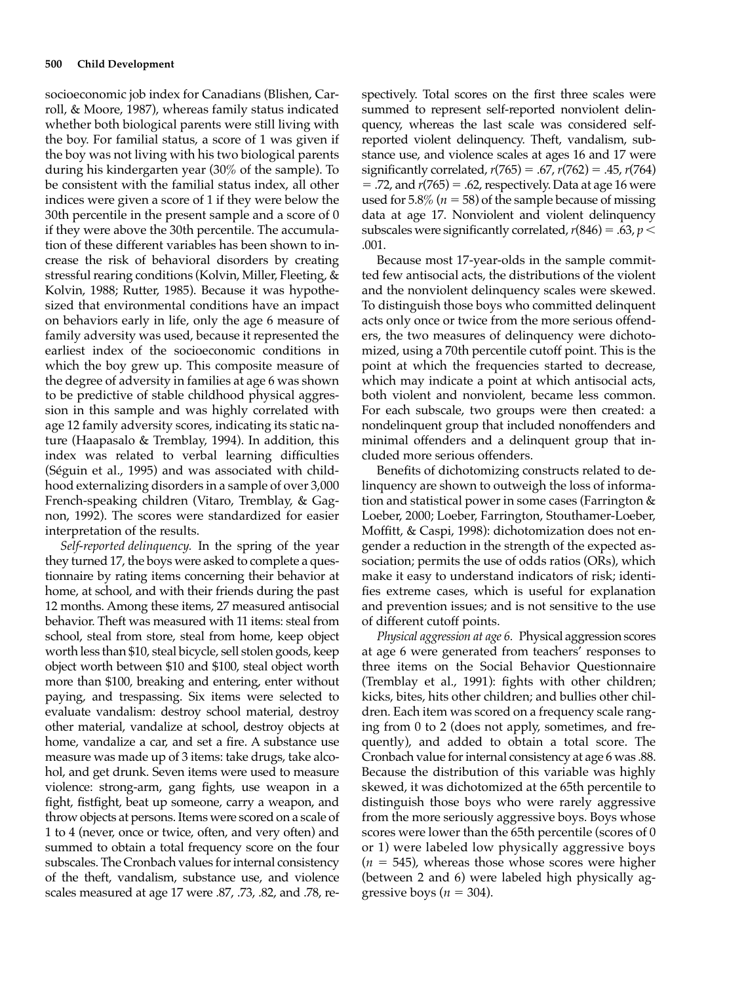socioeconomic job index for Canadians (Blishen, Carroll, & Moore, 1987), whereas family status indicated whether both biological parents were still living with the boy. For familial status, a score of 1 was given if the boy was not living with his two biological parents during his kindergarten year (30% of the sample). To be consistent with the familial status index, all other indices were given a score of 1 if they were below the 30th percentile in the present sample and a score of 0 if they were above the 30th percentile. The accumulation of these different variables has been shown to increase the risk of behavioral disorders by creating stressful rearing conditions (Kolvin, Miller, Fleeting, & Kolvin, 1988; Rutter, 1985). Because it was hypothesized that environmental conditions have an impact on behaviors early in life, only the age 6 measure of family adversity was used, because it represented the earliest index of the socioeconomic conditions in which the boy grew up. This composite measure of the degree of adversity in families at age 6 was shown to be predictive of stable childhood physical aggression in this sample and was highly correlated with age 12 family adversity scores, indicating its static nature (Haapasalo & Tremblay, 1994). In addition, this index was related to verbal learning difficulties (Séguin et al., 1995) and was associated with childhood externalizing disorders in a sample of over 3,000 French-speaking children (Vitaro, Tremblay, & Gagnon, 1992). The scores were standardized for easier interpretation of the results.

*Self-reported delinquency.* In the spring of the year they turned 17, the boys were asked to complete a questionnaire by rating items concerning their behavior at home, at school, and with their friends during the past 12 months. Among these items, 27 measured antisocial behavior. Theft was measured with 11 items: steal from school, steal from store, steal from home, keep object worth less than \$10, steal bicycle, sell stolen goods, keep object worth between \$10 and \$100, steal object worth more than \$100, breaking and entering, enter without paying, and trespassing. Six items were selected to evaluate vandalism: destroy school material, destroy other material, vandalize at school, destroy objects at home, vandalize a car, and set a fire. A substance use measure was made up of 3 items: take drugs, take alcohol, and get drunk. Seven items were used to measure violence: strong-arm, gang fights, use weapon in a fight, fistfight, beat up someone, carry a weapon, and throw objects at persons. Items were scored on a scale of 1 to 4 (never, once or twice, often, and very often) and summed to obtain a total frequency score on the four subscales. The Cronbach values for internal consistency of the theft, vandalism, substance use, and violence scales measured at age 17 were .87, .73, .82, and .78, respectively. Total scores on the first three scales were summed to represent self-reported nonviolent delinquency, whereas the last scale was considered selfreported violent delinquency. Theft, vandalism, substance use, and violence scales at ages 16 and 17 were significantly correlated,  $r(765) = .67$ ,  $r(762) = .45$ ,  $r(764)$  $=$  .72, and  $r(765) = .62$ , respectively. Data at age 16 were used for 5.8% ( $n = 58$ ) of the sample because of missing data at age 17. Nonviolent and violent delinquency subscales were significantly correlated,  $r(846) = .63$ ,  $p <$ .001.

Because most 17-year-olds in the sample committed few antisocial acts, the distributions of the violent and the nonviolent delinquency scales were skewed. To distinguish those boys who committed delinquent acts only once or twice from the more serious offenders, the two measures of delinquency were dichotomized, using a 70th percentile cutoff point. This is the point at which the frequencies started to decrease, which may indicate a point at which antisocial acts, both violent and nonviolent, became less common. For each subscale, two groups were then created: a nondelinquent group that included nonoffenders and minimal offenders and a delinquent group that included more serious offenders.

Benefits of dichotomizing constructs related to delinquency are shown to outweigh the loss of information and statistical power in some cases (Farrington & Loeber, 2000; Loeber, Farrington, Stouthamer-Loeber, Moffitt, & Caspi, 1998): dichotomization does not engender a reduction in the strength of the expected association; permits the use of odds ratios (ORs), which make it easy to understand indicators of risk; identifies extreme cases, which is useful for explanation and prevention issues; and is not sensitive to the use of different cutoff points.

*Physical aggression at age 6.* Physical aggression scores at age 6 were generated from teachers' responses to three items on the Social Behavior Questionnaire (Tremblay et al., 1991): fights with other children; kicks, bites, hits other children; and bullies other children. Each item was scored on a frequency scale ranging from 0 to 2 (does not apply, sometimes, and frequently), and added to obtain a total score. The Cronbach value for internal consistency at age 6 was .88. Because the distribution of this variable was highly skewed, it was dichotomized at the 65th percentile to distinguish those boys who were rarely aggressive from the more seriously aggressive boys. Boys whose scores were lower than the 65th percentile (scores of 0 or 1) were labeled low physically aggressive boys  $(n = 545)$ , whereas those whose scores were higher (between 2 and 6) were labeled high physically aggressive boys ( $n = 304$ ).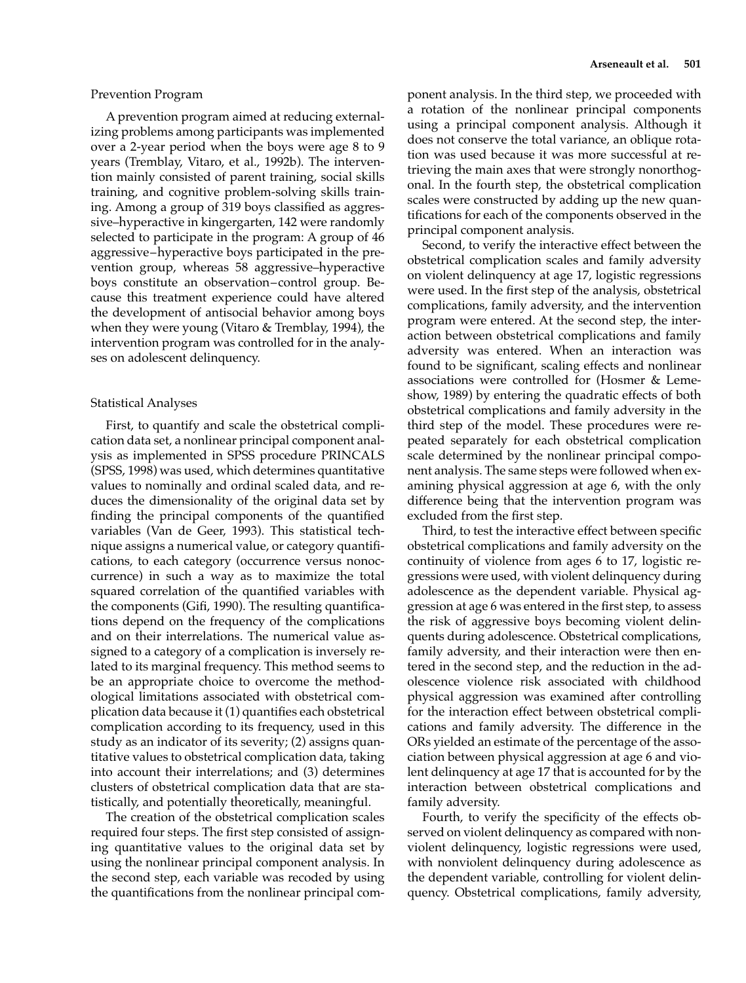#### Prevention Program

A prevention program aimed at reducing externalizing problems among participants was implemented over a 2-year period when the boys were age 8 to 9 years (Tremblay, Vitaro, et al., 1992b). The intervention mainly consisted of parent training, social skills training, and cognitive problem-solving skills training. Among a group of 319 boys classified as aggressive–hyperactive in kingergarten, 142 were randomly selected to participate in the program: A group of 46 aggressive–hyperactive boys participated in the prevention group, whereas 58 aggressive–hyperactive boys constitute an observation–control group. Because this treatment experience could have altered the development of antisocial behavior among boys when they were young (Vitaro & Tremblay, 1994), the intervention program was controlled for in the analyses on adolescent delinquency.

### Statistical Analyses

First, to quantify and scale the obstetrical complication data set, a nonlinear principal component analysis as implemented in SPSS procedure PRINCALS (SPSS, 1998) was used, which determines quantitative values to nominally and ordinal scaled data, and reduces the dimensionality of the original data set by finding the principal components of the quantified variables (Van de Geer, 1993). This statistical technique assigns a numerical value, or category quantifications, to each category (occurrence versus nonoccurrence) in such a way as to maximize the total squared correlation of the quantified variables with the components (Gifi, 1990). The resulting quantifications depend on the frequency of the complications and on their interrelations. The numerical value assigned to a category of a complication is inversely related to its marginal frequency. This method seems to be an appropriate choice to overcome the methodological limitations associated with obstetrical complication data because it (1) quantifies each obstetrical complication according to its frequency, used in this study as an indicator of its severity; (2) assigns quantitative values to obstetrical complication data, taking into account their interrelations; and (3) determines clusters of obstetrical complication data that are statistically, and potentially theoretically, meaningful.

The creation of the obstetrical complication scales required four steps. The first step consisted of assigning quantitative values to the original data set by using the nonlinear principal component analysis. In the second step, each variable was recoded by using the quantifications from the nonlinear principal component analysis. In the third step, we proceeded with a rotation of the nonlinear principal components using a principal component analysis. Although it does not conserve the total variance, an oblique rotation was used because it was more successful at retrieving the main axes that were strongly nonorthogonal. In the fourth step, the obstetrical complication scales were constructed by adding up the new quantifications for each of the components observed in the principal component analysis.

Second, to verify the interactive effect between the obstetrical complication scales and family adversity on violent delinquency at age 17, logistic regressions were used. In the first step of the analysis, obstetrical complications, family adversity, and the intervention program were entered. At the second step, the interaction between obstetrical complications and family adversity was entered. When an interaction was found to be significant, scaling effects and nonlinear associations were controlled for (Hosmer & Lemeshow, 1989) by entering the quadratic effects of both obstetrical complications and family adversity in the third step of the model. These procedures were repeated separately for each obstetrical complication scale determined by the nonlinear principal component analysis. The same steps were followed when examining physical aggression at age 6, with the only difference being that the intervention program was excluded from the first step.

Third, to test the interactive effect between specific obstetrical complications and family adversity on the continuity of violence from ages 6 to 17, logistic regressions were used, with violent delinquency during adolescence as the dependent variable. Physical aggression at age 6 was entered in the first step, to assess the risk of aggressive boys becoming violent delinquents during adolescence. Obstetrical complications, family adversity, and their interaction were then entered in the second step, and the reduction in the adolescence violence risk associated with childhood physical aggression was examined after controlling for the interaction effect between obstetrical complications and family adversity. The difference in the ORs yielded an estimate of the percentage of the association between physical aggression at age 6 and violent delinquency at age 17 that is accounted for by the interaction between obstetrical complications and family adversity.

Fourth, to verify the specificity of the effects observed on violent delinquency as compared with nonviolent delinquency, logistic regressions were used, with nonviolent delinquency during adolescence as the dependent variable, controlling for violent delinquency. Obstetrical complications, family adversity,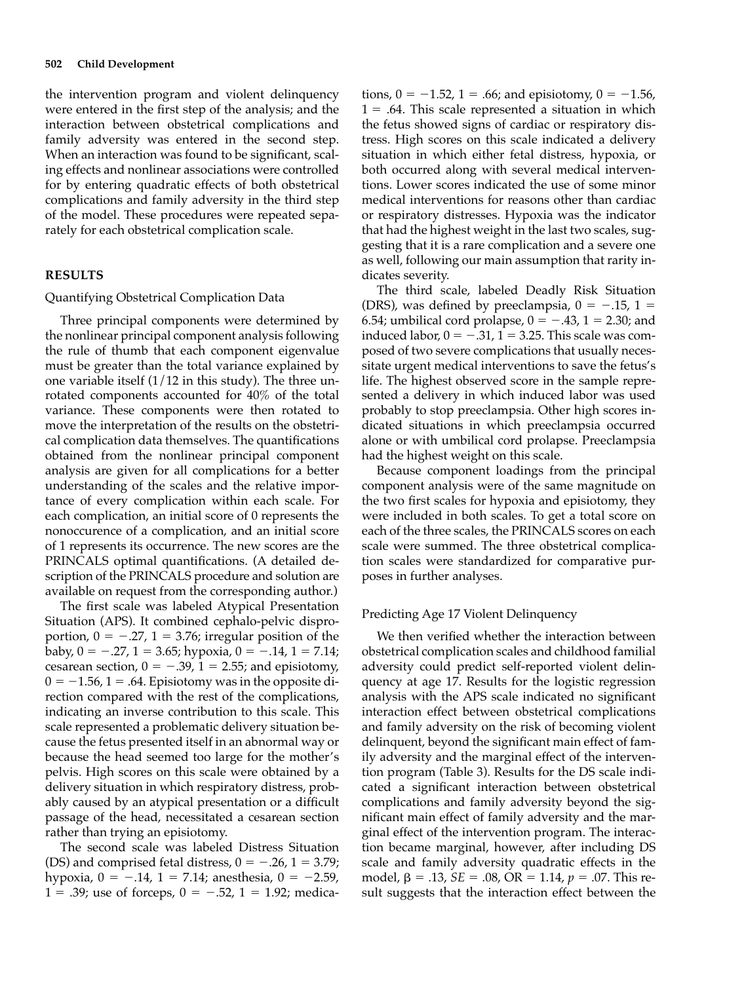the intervention program and violent delinquency were entered in the first step of the analysis; and the interaction between obstetrical complications and family adversity was entered in the second step. When an interaction was found to be significant, scaling effects and nonlinear associations were controlled for by entering quadratic effects of both obstetrical complications and family adversity in the third step of the model. These procedures were repeated separately for each obstetrical complication scale.

# **RESULTS**

# Quantifying Obstetrical Complication Data

Three principal components were determined by the nonlinear principal component analysis following the rule of thumb that each component eigenvalue must be greater than the total variance explained by one variable itself  $(1/12$  in this study). The three unrotated components accounted for 40% of the total variance. These components were then rotated to move the interpretation of the results on the obstetrical complication data themselves. The quantifications obtained from the nonlinear principal component analysis are given for all complications for a better understanding of the scales and the relative importance of every complication within each scale. For each complication, an initial score of 0 represents the nonoccurence of a complication, and an initial score of 1 represents its occurrence. The new scores are the PRINCALS optimal quantifications. (A detailed description of the PRINCALS procedure and solution are available on request from the corresponding author.)

The first scale was labeled Atypical Presentation Situation (APS). It combined cephalo-pelvic disproportion,  $0 = -.27$ ,  $1 = 3.76$ ; irregular position of the baby,  $0 = -.27$ ,  $1 = 3.65$ ; hypoxia,  $0 = -.14$ ,  $1 = 7.14$ ; cesarean section,  $0 = -.39$ ,  $1 = 2.55$ ; and episiotomy,  $0 = -1.56$ , 1 = .64. Episiotomy was in the opposite direction compared with the rest of the complications, indicating an inverse contribution to this scale. This scale represented a problematic delivery situation because the fetus presented itself in an abnormal way or because the head seemed too large for the mother's pelvis. High scores on this scale were obtained by a delivery situation in which respiratory distress, probably caused by an atypical presentation or a difficult passage of the head, necessitated a cesarean section rather than trying an episiotomy.

The second scale was labeled Distress Situation (DS) and comprised fetal distress,  $0 = -.26$ ,  $1 = 3.79$ ; hypoxia,  $0 = -0.14$ ,  $1 = 7.14$ ; anesthesia,  $0 = -2.59$ , 1 = .39; use of forceps,  $0 = -0.52$ , 1 = 1.92; medica-

tions,  $0 = -1.52$ ,  $1 = .66$ ; and episiotomy,  $0 = -1.56$ ,  $1 = .64$ . This scale represented a situation in which the fetus showed signs of cardiac or respiratory distress. High scores on this scale indicated a delivery situation in which either fetal distress, hypoxia, or both occurred along with several medical interventions. Lower scores indicated the use of some minor medical interventions for reasons other than cardiac or respiratory distresses. Hypoxia was the indicator that had the highest weight in the last two scales, suggesting that it is a rare complication and a severe one as well, following our main assumption that rarity indicates severity.

The third scale, labeled Deadly Risk Situation (DRS), was defined by preeclampsia,  $0 = -.15$ ,  $1 =$ 6.54; umbilical cord prolapse,  $0 = -.43$ ,  $1 = 2.30$ ; and induced labor,  $0 = -.31$ ,  $1 = 3.25$ . This scale was composed of two severe complications that usually necessitate urgent medical interventions to save the fetus's life. The highest observed score in the sample represented a delivery in which induced labor was used probably to stop preeclampsia. Other high scores indicated situations in which preeclampsia occurred alone or with umbilical cord prolapse. Preeclampsia had the highest weight on this scale.

Because component loadings from the principal component analysis were of the same magnitude on the two first scales for hypoxia and episiotomy, they were included in both scales. To get a total score on each of the three scales, the PRINCALS scores on each scale were summed. The three obstetrical complication scales were standardized for comparative purposes in further analyses.

### Predicting Age 17 Violent Delinquency

We then verified whether the interaction between obstetrical complication scales and childhood familial adversity could predict self-reported violent delinquency at age 17. Results for the logistic regression analysis with the APS scale indicated no significant interaction effect between obstetrical complications and family adversity on the risk of becoming violent delinquent, beyond the significant main effect of family adversity and the marginal effect of the intervention program (Table 3). Results for the DS scale indicated a significant interaction between obstetrical complications and family adversity beyond the significant main effect of family adversity and the marginal effect of the intervention program. The interaction became marginal, however, after including DS scale and family adversity quadratic effects in the model,  $\beta = .13$ ,  $SE = .08$ ,  $OR = 1.14$ ,  $p = .07$ . This result suggests that the interaction effect between the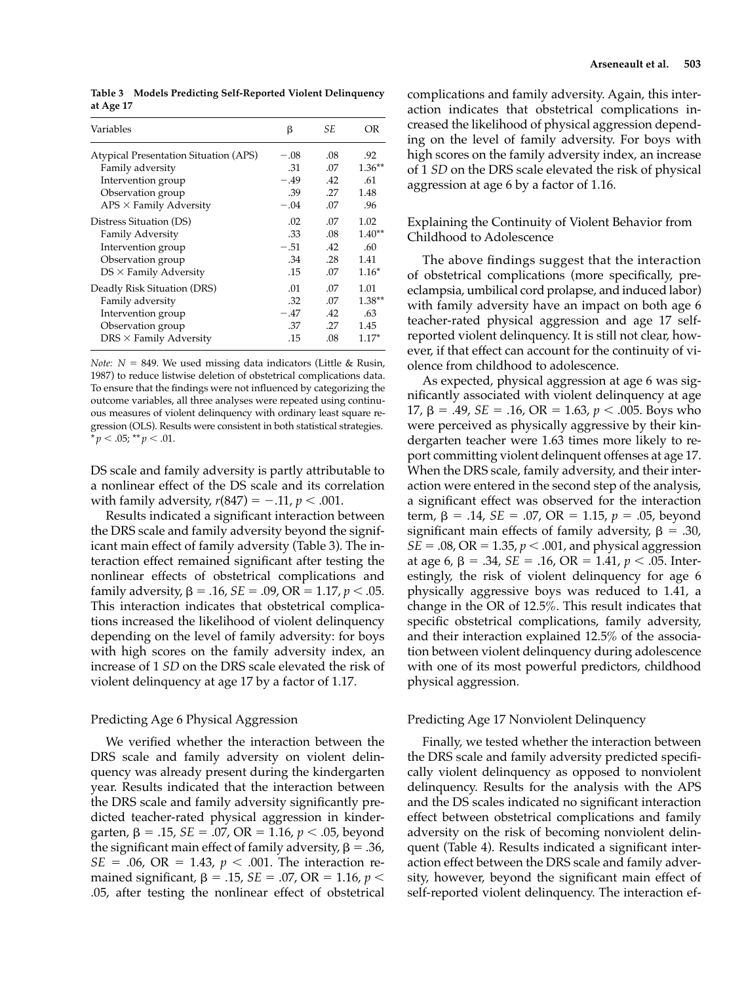| Variables                                    | β      | SЕ  | OR       |
|----------------------------------------------|--------|-----|----------|
| <b>Atypical Presentation Situation (APS)</b> | $-.08$ | .08 | .92      |
| Family adversity                             | .31    | .07 | $1.36**$ |
| Intervention group                           | $-.49$ | .42 | .61      |
| Observation group                            | .39    | .27 | 1.48     |
| $APS \times Family$ Adversity                | $-.04$ | .07 | .96      |
| Distress Situation (DS)                      | .02    | .07 | 1.02     |
| <b>Family Adversity</b>                      | .33    | .08 | $1.40**$ |
| Intervention group                           | $-.51$ | .42 | .60      |
| Observation group                            | .34    | .28 | 1.41     |
| $DS \times$ Family Adversity                 | .15    | .07 | $1.16*$  |
| Deadly Risk Situation (DRS)                  | .01    | .07 | 1.01     |
| Family adversity                             | .32    | .07 | $1.38**$ |
| Intervention group                           | $-.47$ | .42 | .63      |
| Observation group                            | .37    | .27 | 1.45     |
| $DRS \times Family$ Adversity                | .15    | .08 | $1.17*$  |

**Table 3 Models Predicting Self-Reported Violent Delinquency at Age 17**

*Note:*  $N = 849$ . We used missing data indicators (Little & Rusin, 1987) to reduce listwise deletion of obstetrical complications data. To ensure that the findings were not influenced by categorizing the outcome variables, all three analyses were repeated using continuous measures of violent delinquency with ordinary least square regression (OLS). Results were consistent in both statistical strategies.  $p < .05$ ; \*\*  $p < .01$ .

DS scale and family adversity is partly attributable to a nonlinear effect of the DS scale and its correlation with family adversity,  $r(847) = -.11$ ,  $p < .001$ .

Results indicated a significant interaction between the DRS scale and family adversity beyond the significant main effect of family adversity (Table 3). The interaction effect remained significant after testing the nonlinear effects of obstetrical complications and family adversity,  $\beta = .16$ ,  $SE = .09$ ,  $OR = 1.17$ ,  $p < .05$ . This interaction indicates that obstetrical complications increased the likelihood of violent delinquency depending on the level of family adversity: for boys with high scores on the family adversity index, an increase of 1 *SD* on the DRS scale elevated the risk of violent delinquency at age 17 by a factor of 1.17.

### Predicting Age 6 Physical Aggression

We verified whether the interaction between the DRS scale and family adversity on violent delinquency was already present during the kindergarten year. Results indicated that the interaction between the DRS scale and family adversity significantly predicted teacher-rated physical aggression in kindergarten,  $\beta = .15$ ,  $SE = .07$ ,  $OR = 1.16$ ,  $p < .05$ , beyond the significant main effect of family adversity,  $\beta = 0.36$ ,  $SE = .06$ , OR = 1.43,  $p < .001$ . The interaction remained significant,  $\beta = .15$ ,  $SE = .07$ ,  $OR = 1.16$ ,  $p <$ .05, after testing the nonlinear effect of obstetrical

complications and family adversity. Again, this interaction indicates that obstetrical complications increased the likelihood of physical aggression depending on the level of family adversity. For boys with high scores on the family adversity index, an increase of 1 *SD* on the DRS scale elevated the risk of physical aggression at age 6 by a factor of 1.16.

# Explaining the Continuity of Violent Behavior from Childhood to Adolescence

The above findings suggest that the interaction of obstetrical complications (more specifically, preeclampsia, umbilical cord prolapse, and induced labor) with family adversity have an impact on both age 6 teacher-rated physical aggression and age 17 selfreported violent delinquency. It is still not clear, however, if that effect can account for the continuity of violence from childhood to adolescence.

As expected, physical aggression at age 6 was significantly associated with violent delinquency at age 17, β = .49, *SE* = .16, OR = 1.63, *p* < .005. Boys who were perceived as physically aggressive by their kindergarten teacher were 1.63 times more likely to report committing violent delinquent offenses at age 17. When the DRS scale, family adversity, and their interaction were entered in the second step of the analysis, a significant effect was observed for the interaction term,  $\beta$  = .14, *SE* = .07, OR = 1.15,  $p$  = .05, beyond significant main effects of family adversity,  $\beta = .30$ ,  $SE = .08$ , OR = 1.35,  $p < .001$ , and physical aggression at age 6,  $\beta = .34$ ,  $SE = .16$ ,  $OR = 1.41$ ,  $p < .05$ . Interestingly, the risk of violent delinquency for age 6 physically aggressive boys was reduced to 1.41, a change in the OR of 12.5%. This result indicates that specific obstetrical complications, family adversity, and their interaction explained 12.5% of the association between violent delinquency during adolescence with one of its most powerful predictors, childhood physical aggression.

### Predicting Age 17 Nonviolent Delinquency

Finally, we tested whether the interaction between the DRS scale and family adversity predicted specifically violent delinquency as opposed to nonviolent delinquency. Results for the analysis with the APS and the DS scales indicated no significant interaction effect between obstetrical complications and family adversity on the risk of becoming nonviolent delinquent (Table 4). Results indicated a significant interaction effect between the DRS scale and family adversity, however, beyond the significant main effect of self-reported violent delinquency. The interaction ef-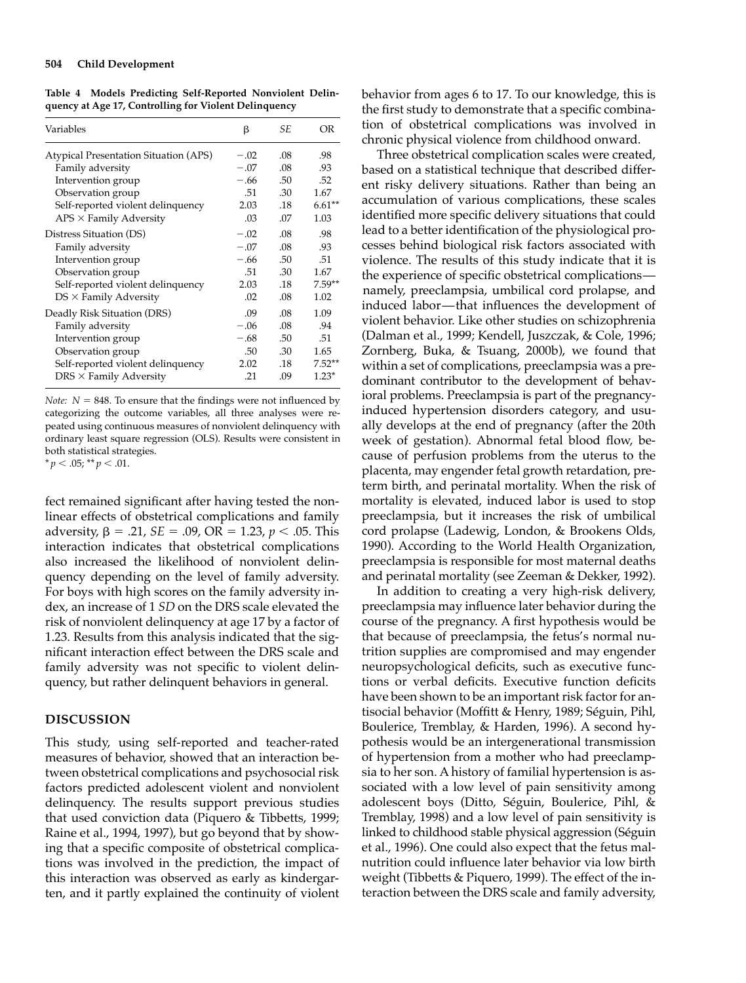**Table 4 Models Predicting Self-Reported Nonviolent Delinquency at Age 17, Controlling for Violent Delinquency**

| Variables                             | β      | SЕ               | OR       |
|---------------------------------------|--------|------------------|----------|
| Atypical Presentation Situation (APS) | $-.02$ | .08              | .98      |
| Family adversity                      | $-.07$ | .08              | .93      |
| Intervention group                    | $-.66$ | .50              | .52      |
| Observation group                     | .51    | .30 <sub>2</sub> | 1.67     |
| Self-reported violent delinquency     | 2.03   | .18              | $6.61**$ |
| $APS \times$ Family Adversity         | .03    | .07              | 1.03     |
| Distress Situation (DS)               | $-.02$ | .08              | .98      |
| Family adversity                      | $-.07$ | .08              | .93      |
| Intervention group                    | $-.66$ | .50              | .51      |
| Observation group                     | .51    | .30 <sub>2</sub> | 1.67     |
| Self-reported violent delinquency     | 2.03   | .18              | $7.59**$ |
| $DS \times$ Family Adversity          | .02    | .08              | 1.02     |
| Deadly Risk Situation (DRS)           | .09    | .08              | 1.09     |
| Family adversity                      | $-.06$ | .08              | .94      |
| Intervention group                    | $-.68$ | .50              | .51      |
| Observation group                     | .50    | .30              | 1.65     |
| Self-reported violent delinquency     | 2.02   | .18              | $7.52**$ |
| $DRS \times Family$ Adversity         | .21    | .09              | $1.23*$  |

*Note:*  $N = 848$ . To ensure that the findings were not influenced by categorizing the outcome variables, all three analyses were repeated using continuous measures of nonviolent delinquency with ordinary least square regression (OLS). Results were consistent in both statistical strategies.

 $* p < .05; ** p < .01.$ 

fect remained significant after having tested the nonlinear effects of obstetrical complications and family adversity,  $\beta = .21$ ,  $SE = .09$ ,  $OR = 1.23$ ,  $p < .05$ . This interaction indicates that obstetrical complications also increased the likelihood of nonviolent delinquency depending on the level of family adversity. For boys with high scores on the family adversity index, an increase of 1 *SD* on the DRS scale elevated the risk of nonviolent delinquency at age 17 by a factor of 1.23. Results from this analysis indicated that the significant interaction effect between the DRS scale and family adversity was not specific to violent delinquency, but rather delinquent behaviors in general.

### **DISCUSSION**

This study, using self-reported and teacher-rated measures of behavior, showed that an interaction between obstetrical complications and psychosocial risk factors predicted adolescent violent and nonviolent delinquency. The results support previous studies that used conviction data (Piquero & Tibbetts, 1999; Raine et al., 1994, 1997), but go beyond that by showing that a specific composite of obstetrical complications was involved in the prediction, the impact of this interaction was observed as early as kindergarten, and it partly explained the continuity of violent

behavior from ages 6 to 17. To our knowledge, this is the first study to demonstrate that a specific combination of obstetrical complications was involved in chronic physical violence from childhood onward.

Three obstetrical complication scales were created, based on a statistical technique that described different risky delivery situations. Rather than being an accumulation of various complications, these scales identified more specific delivery situations that could lead to a better identification of the physiological processes behind biological risk factors associated with violence. The results of this study indicate that it is the experience of specific obstetrical complications namely, preeclampsia, umbilical cord prolapse, and induced labor— that influences the development of violent behavior. Like other studies on schizophrenia (Dalman et al., 1999; Kendell, Juszczak, & Cole, 1996; Zornberg, Buka, & Tsuang, 2000b), we found that within a set of complications, preeclampsia was a predominant contributor to the development of behavioral problems. Preeclampsia is part of the pregnancyinduced hypertension disorders category, and usually develops at the end of pregnancy (after the 20th week of gestation). Abnormal fetal blood flow, because of perfusion problems from the uterus to the placenta, may engender fetal growth retardation, preterm birth, and perinatal mortality. When the risk of mortality is elevated, induced labor is used to stop preeclampsia, but it increases the risk of umbilical cord prolapse (Ladewig, London, & Brookens Olds, 1990). According to the World Health Organization, preeclampsia is responsible for most maternal deaths and perinatal mortality (see Zeeman & Dekker, 1992).

In addition to creating a very high-risk delivery, preeclampsia may influence later behavior during the course of the pregnancy. A first hypothesis would be that because of preeclampsia, the fetus's normal nutrition supplies are compromised and may engender neuropsychological deficits, such as executive functions or verbal deficits. Executive function deficits have been shown to be an important risk factor for antisocial behavior (Moffitt & Henry, 1989; Séguin, Pihl, Boulerice, Tremblay, & Harden, 1996). A second hypothesis would be an intergenerational transmission of hypertension from a mother who had preeclampsia to her son. A history of familial hypertension is associated with a low level of pain sensitivity among adolescent boys (Ditto, Séguin, Boulerice, Pihl, & Tremblay, 1998) and a low level of pain sensitivity is linked to childhood stable physical aggression (Séguin et al., 1996). One could also expect that the fetus malnutrition could influence later behavior via low birth weight (Tibbetts & Piquero, 1999). The effect of the interaction between the DRS scale and family adversity,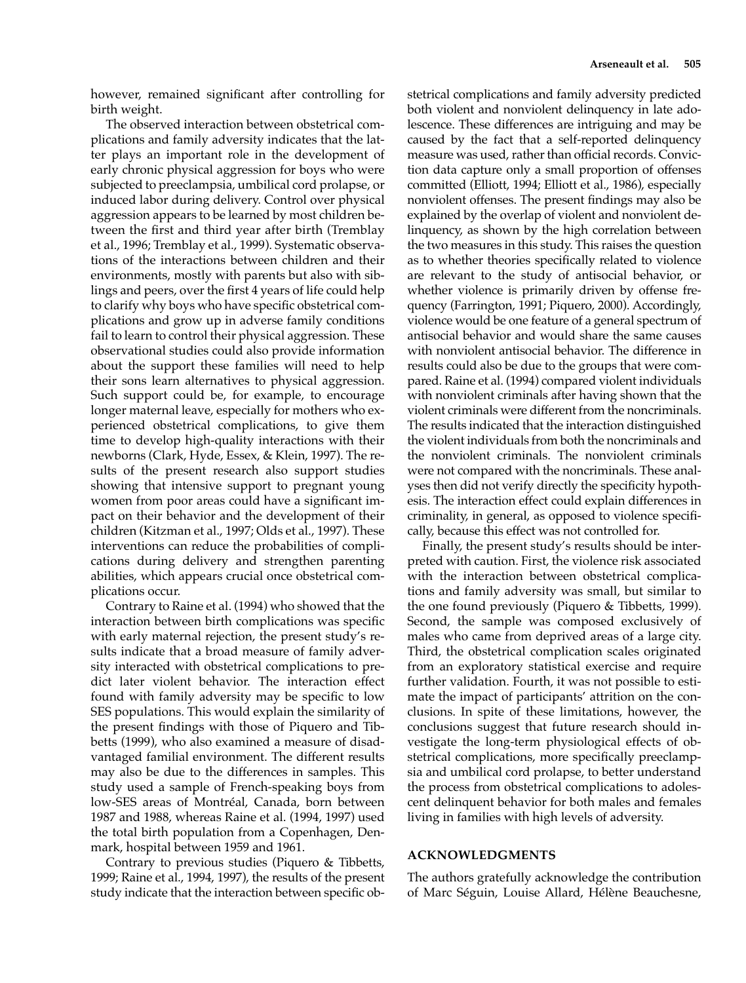however, remained significant after controlling for birth weight.

The observed interaction between obstetrical complications and family adversity indicates that the latter plays an important role in the development of early chronic physical aggression for boys who were subjected to preeclampsia, umbilical cord prolapse, or induced labor during delivery. Control over physical aggression appears to be learned by most children between the first and third year after birth (Tremblay et al., 1996; Tremblay et al., 1999). Systematic observations of the interactions between children and their environments, mostly with parents but also with siblings and peers, over the first 4 years of life could help to clarify why boys who have specific obstetrical complications and grow up in adverse family conditions fail to learn to control their physical aggression. These observational studies could also provide information about the support these families will need to help their sons learn alternatives to physical aggression. Such support could be, for example, to encourage longer maternal leave, especially for mothers who experienced obstetrical complications, to give them time to develop high-quality interactions with their newborns (Clark, Hyde, Essex, & Klein, 1997). The results of the present research also support studies showing that intensive support to pregnant young women from poor areas could have a significant impact on their behavior and the development of their children (Kitzman et al., 1997; Olds et al., 1997). These interventions can reduce the probabilities of complications during delivery and strengthen parenting abilities, which appears crucial once obstetrical complications occur.

Contrary to Raine et al. (1994) who showed that the interaction between birth complications was specific with early maternal rejection, the present study's results indicate that a broad measure of family adversity interacted with obstetrical complications to predict later violent behavior. The interaction effect found with family adversity may be specific to low SES populations. This would explain the similarity of the present findings with those of Piquero and Tibbetts (1999), who also examined a measure of disadvantaged familial environment. The different results may also be due to the differences in samples. This study used a sample of French-speaking boys from low-SES areas of Montréal, Canada, born between 1987 and 1988, whereas Raine et al. (1994, 1997) used the total birth population from a Copenhagen, Denmark, hospital between 1959 and 1961.

Contrary to previous studies (Piquero & Tibbetts, 1999; Raine et al., 1994, 1997), the results of the present study indicate that the interaction between specific obstetrical complications and family adversity predicted both violent and nonviolent delinquency in late adolescence. These differences are intriguing and may be caused by the fact that a self-reported delinquency measure was used, rather than official records. Conviction data capture only a small proportion of offenses committed (Elliott, 1994; Elliott et al., 1986), especially nonviolent offenses. The present findings may also be explained by the overlap of violent and nonviolent delinquency, as shown by the high correlation between the two measures in this study. This raises the question as to whether theories specifically related to violence are relevant to the study of antisocial behavior, or whether violence is primarily driven by offense frequency (Farrington, 1991; Piquero, 2000). Accordingly, violence would be one feature of a general spectrum of antisocial behavior and would share the same causes with nonviolent antisocial behavior. The difference in results could also be due to the groups that were compared. Raine et al. (1994) compared violent individuals with nonviolent criminals after having shown that the violent criminals were different from the noncriminals. The results indicated that the interaction distinguished the violent individuals from both the noncriminals and the nonviolent criminals. The nonviolent criminals were not compared with the noncriminals. These analyses then did not verify directly the specificity hypothesis. The interaction effect could explain differences in criminality, in general, as opposed to violence specifically, because this effect was not controlled for.

Finally, the present study's results should be interpreted with caution. First, the violence risk associated with the interaction between obstetrical complications and family adversity was small, but similar to the one found previously (Piquero & Tibbetts, 1999). Second, the sample was composed exclusively of males who came from deprived areas of a large city. Third, the obstetrical complication scales originated from an exploratory statistical exercise and require further validation. Fourth, it was not possible to estimate the impact of participants' attrition on the conclusions. In spite of these limitations, however, the conclusions suggest that future research should investigate the long-term physiological effects of obstetrical complications, more specifically preeclampsia and umbilical cord prolapse, to better understand the process from obstetrical complications to adolescent delinquent behavior for both males and females living in families with high levels of adversity.

# **ACKNOWLEDGMENTS**

The authors gratefully acknowledge the contribution of Marc Séguin, Louise Allard, Hélène Beauchesne,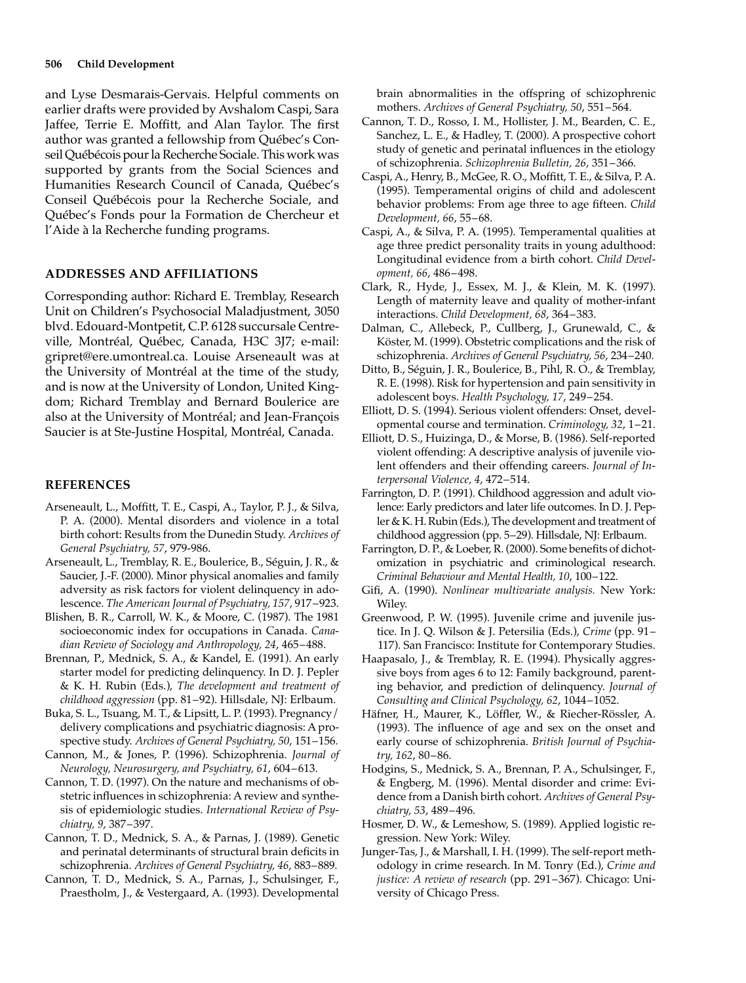#### **506 Child Development**

and Lyse Desmarais-Gervais. Helpful comments on earlier drafts were provided by Avshalom Caspi, Sara Jaffee, Terrie E. Moffitt, and Alan Taylor. The first author was granted a fellowship from Québec's Conseil Québécois pour la Recherche Sociale. This work was supported by grants from the Social Sciences and Humanities Research Council of Canada, Québec's Conseil Québécois pour la Recherche Sociale, and Québec's Fonds pour la Formation de Chercheur et l'Aide à la Recherche funding programs.

# **ADDRESSES AND AFFILIATIONS**

Corresponding author: Richard E. Tremblay, Research Unit on Children's Psychosocial Maladjustment, 3050 blvd. Edouard-Montpetit, C.P. 6128 succursale Centreville, Montréal, Québec, Canada, H3C 3J7; e-mail: gripret@ere.umontreal.ca. Louise Arseneault was at the University of Montréal at the time of the study, and is now at the University of London, United Kingdom; Richard Tremblay and Bernard Boulerice are also at the University of Montréal; and Jean-François Saucier is at Ste-Justine Hospital, Montréal, Canada.

# **REFERENCES**

- Arseneault, L., Moffitt, T. E., Caspi, A., Taylor, P. J., & Silva, P. A. (2000). Mental disorders and violence in a total birth cohort: Results from the Dunedin Study. *Archives of General Psychiatry, 57*, 979-986.
- Arseneault, L., Tremblay, R. E., Boulerice, B., Séguin, J. R., & Saucier, J.-F. (2000). Minor physical anomalies and family adversity as risk factors for violent delinquency in adolescence. *The American Journal of Psychiatry, 157*, 917–923.
- Blishen, B. R., Carroll, W. K., & Moore, C. (1987). The 1981 socioeconomic index for occupations in Canada. *Canadian Review of Sociology and Anthropology, 24*, 465–488.
- Brennan, P., Mednick, S. A., & Kandel, E. (1991). An early starter model for predicting delinquency. In D. J. Pepler & K. H. Rubin (Eds.), *The development and treatment of childhood aggression* (pp. 81–92). Hillsdale, NJ: Erlbaum.
- Buka, S. L., Tsuang, M. T., & Lipsitt, L. P. (1993). Pregnancy/ delivery complications and psychiatric diagnosis: A prospective study. *Archives of General Psychiatry, 50*, 151–156.
- Cannon, M., & Jones, P. (1996). Schizophrenia. *Journal of Neurology, Neurosurgery, and Psychiatry, 61*, 604–613.
- Cannon, T. D. (1997). On the nature and mechanisms of obstetric influences in schizophrenia: A review and synthesis of epidemiologic studies. *International Review of Psychiatry, 9*, 387–397.
- Cannon, T. D., Mednick, S. A., & Parnas, J. (1989). Genetic and perinatal determinants of structural brain deficits in schizophrenia. *Archives of General Psychiatry, 46*, 883–889.
- Cannon, T. D., Mednick, S. A., Parnas, J., Schulsinger, F., Praestholm, J., & Vestergaard, A. (1993). Developmental

brain abnormalities in the offspring of schizophrenic mothers. *Archives of General Psychiatry, 50*, 551–564.

- Cannon, T. D., Rosso, I. M., Hollister, J. M., Bearden, C. E., Sanchez, L. E., & Hadley, T. (2000). A prospective cohort study of genetic and perinatal influences in the etiology of schizophrenia. *Schizophrenia Bulletin, 26*, 351–366.
- Caspi, A., Henry, B., McGee, R. O., Moffitt, T. E., & Silva, P. A. (1995). Temperamental origins of child and adolescent behavior problems: From age three to age fifteen. *Child Development, 66*, 55–68.
- Caspi, A., & Silva, P. A. (1995). Temperamental qualities at age three predict personality traits in young adulthood: Longitudinal evidence from a birth cohort. *Child Development, 66*, 486–498.
- Clark, R., Hyde, J., Essex, M. J., & Klein, M. K. (1997). Length of maternity leave and quality of mother-infant interactions. *Child Development, 68*, 364–383.
- Dalman, C., Allebeck, P., Cullberg, J., Grunewald, C., & Köster, M. (1999). Obstetric complications and the risk of schizophrenia. *Archives of General Psychiatry, 56*, 234–240.
- Ditto, B., Séguin, J. R., Boulerice, B., Pihl, R. O., & Tremblay, R. E. (1998). Risk for hypertension and pain sensitivity in adolescent boys. *Health Psychology, 17*, 249–254.
- Elliott, D. S. (1994). Serious violent offenders: Onset, developmental course and termination. *Criminology, 32*, 1–21.
- Elliott, D. S., Huizinga, D., & Morse, B. (1986). Self-reported violent offending: A descriptive analysis of juvenile violent offenders and their offending careers. *Journal of Interpersonal Violence, 4*, 472–514.
- Farrington, D. P. (1991). Childhood aggression and adult violence: Early predictors and later life outcomes. In D. J. Pepler & K. H. Rubin (Eds.), The development and treatment of childhood aggression (pp. 5–29). Hillsdale, NJ: Erlbaum.
- Farrington, D. P., & Loeber, R. (2000). Some benefits of dichotomization in psychiatric and criminological research. *Criminal Behaviour and Mental Health, 10*, 100–122.
- Gifi, A. (1990). *Nonlinear multivariate analysis.* New York: Wiley.
- Greenwood, P. W. (1995). Juvenile crime and juvenile justice. In J. Q. Wilson & J. Petersilia (Eds.), *Crime* (pp. 91– 117). San Francisco: Institute for Contemporary Studies.
- Haapasalo, J., & Tremblay, R. E. (1994). Physically aggressive boys from ages 6 to 12: Family background, parenting behavior, and prediction of delinquency. *Journal of Consulting and Clinical Psychology, 62*, 1044–1052.
- Häfner, H., Maurer, K., Löffler, W., & Riecher-Rössler, A. (1993). The influence of age and sex on the onset and early course of schizophrenia. *British Journal of Psychiatry, 162*, 80–86.
- Hodgins, S., Mednick, S. A., Brennan, P. A., Schulsinger, F., & Engberg, M. (1996). Mental disorder and crime: Evidence from a Danish birth cohort. *Archives of General Psychiatry, 53*, 489–496.
- Hosmer, D. W., & Lemeshow, S. (1989). Applied logistic regression. New York: Wiley.
- Junger-Tas, J., & Marshall, I. H. (1999). The self-report methodology in crime research. In M. Tonry (Ed.), *Crime and justice: A review of research* (pp. 291–367). Chicago: University of Chicago Press.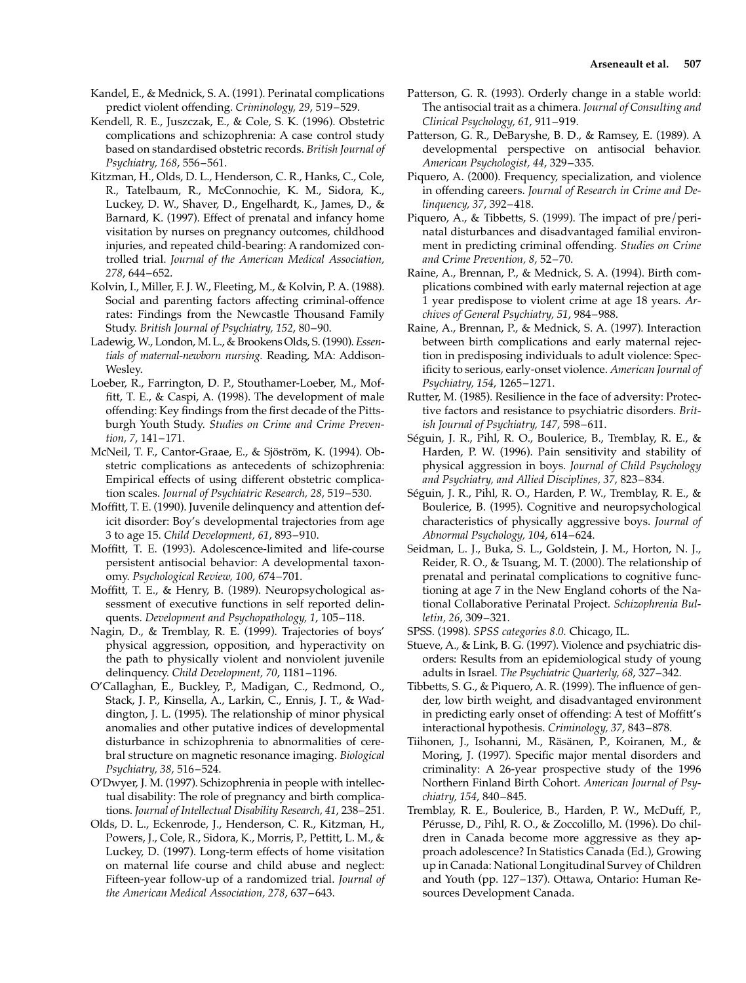- Kandel, E., & Mednick, S. A. (1991). Perinatal complications predict violent offending. *Criminology, 29*, 519–529.
- Kendell, R. E., Juszczak, E., & Cole, S. K. (1996). Obstetric complications and schizophrenia: A case control study based on standardised obstetric records. *British Journal of Psychiatry, 168*, 556–561.
- Kitzman, H., Olds, D. L., Henderson, C. R., Hanks, C., Cole, R., Tatelbaum, R., McConnochie, K. M., Sidora, K., Luckey, D. W., Shaver, D., Engelhardt, K., James, D., & Barnard, K. (1997). Effect of prenatal and infancy home visitation by nurses on pregnancy outcomes, childhood injuries, and repeated child-bearing: A randomized controlled trial. *Journal of the American Medical Association, 278*, 644–652.
- Kolvin, I., Miller, F. J. W., Fleeting, M., & Kolvin, P. A. (1988). Social and parenting factors affecting criminal-offence rates: Findings from the Newcastle Thousand Family Study. *British Journal of Psychiatry, 152*, 80–90.
- Ladewig, W., London, M. L., & Brookens Olds, S. (1990). *Essentials of maternal-newborn nursing.* Reading, MA: Addison-Wesley.
- Loeber, R., Farrington, D. P., Stouthamer-Loeber, M., Moffitt, T. E., & Caspi, A. (1998). The development of male offending: Key findings from the first decade of the Pittsburgh Youth Study. *Studies on Crime and Crime Prevention, 7*, 141–171.
- McNeil, T. F., Cantor-Graae, E., & Sjöström, K. (1994). Obstetric complications as antecedents of schizophrenia: Empirical effects of using different obstetric complication scales. *Journal of Psychiatric Research, 28*, 519–530.
- Moffitt, T. E. (1990). Juvenile delinquency and attention deficit disorder: Boy's developmental trajectories from age 3 to age 15. *Child Development, 61*, 893–910.
- Moffitt, T. E. (1993). Adolescence-limited and life-course persistent antisocial behavior: A developmental taxonomy. *Psychological Review, 100*, 674–701.
- Moffitt, T. E., & Henry, B. (1989). Neuropsychological assessment of executive functions in self reported delinquents. *Development and Psychopathology, 1*, 105–118.
- Nagin, D., & Tremblay, R. E. (1999). Trajectories of boys' physical aggression, opposition, and hyperactivity on the path to physically violent and nonviolent juvenile delinquency. *Child Development, 70*, 1181–1196.
- O'Callaghan, E., Buckley, P., Madigan, C., Redmond, O., Stack, J. P., Kinsella, A., Larkin, C., Ennis, J. T., & Waddington, J. L. (1995). The relationship of minor physical anomalies and other putative indices of developmental disturbance in schizophrenia to abnormalities of cerebral structure on magnetic resonance imaging. *Biological Psychiatry, 38*, 516–524.
- O'Dwyer, J. M. (1997). Schizophrenia in people with intellectual disability: The role of pregnancy and birth complications. *Journal of Intellectual Disability Research, 41*, 238–251.
- Olds, D. L., Eckenrode, J., Henderson, C. R., Kitzman, H., Powers, J., Cole, R., Sidora, K., Morris, P., Pettitt, L. M., & Luckey, D. (1997). Long-term effects of home visitation on maternal life course and child abuse and neglect: Fifteen-year follow-up of a randomized trial. *Journal of the American Medical Association, 278*, 637–643.
- Patterson, G. R. (1993). Orderly change in a stable world: The antisocial trait as a chimera. *Journal of Consulting and Clinical Psychology, 61*, 911–919.
- Patterson, G. R., DeBaryshe, B. D., & Ramsey, E. (1989). A developmental perspective on antisocial behavior. *American Psychologist, 44*, 329–335.
- Piquero, A. (2000). Frequency, specialization, and violence in offending careers. *Journal of Research in Crime and Delinquency, 37*, 392–418.
- Piquero, A., & Tibbetts, S. (1999). The impact of pre/perinatal disturbances and disadvantaged familial environment in predicting criminal offending. *Studies on Crime and Crime Prevention, 8*, 52–70.
- Raine, A., Brennan, P., & Mednick, S. A. (1994). Birth complications combined with early maternal rejection at age 1 year predispose to violent crime at age 18 years. *Archives of General Psychiatry, 51*, 984–988.
- Raine, A., Brennan, P., & Mednick, S. A. (1997). Interaction between birth complications and early maternal rejection in predisposing individuals to adult violence: Specificity to serious, early-onset violence. *American Journal of Psychiatry, 154*, 1265–1271.
- Rutter, M. (1985). Resilience in the face of adversity: Protective factors and resistance to psychiatric disorders. *British Journal of Psychiatry, 147*, 598–611.
- Séguin, J. R., Pihl, R. O., Boulerice, B., Tremblay, R. E., & Harden, P. W. (1996). Pain sensitivity and stability of physical aggression in boys. *Journal of Child Psychology and Psychiatry, and Allied Disciplines, 37*, 823–834.
- Séguin, J. R., Pihl, R. O., Harden, P. W., Tremblay, R. E., & Boulerice, B. (1995). Cognitive and neuropsychological characteristics of physically aggressive boys. *Journal of Abnormal Psychology, 104*, 614–624.
- Seidman, L. J., Buka, S. L., Goldstein, J. M., Horton, N. J., Reider, R. O., & Tsuang, M. T. (2000). The relationship of prenatal and perinatal complications to cognitive functioning at age 7 in the New England cohorts of the National Collaborative Perinatal Project. *Schizophrenia Bulletin, 26*, 309–321.
- SPSS. (1998). *SPSS categories 8.0.* Chicago, IL.
- Stueve, A., & Link, B. G. (1997). Violence and psychiatric disorders: Results from an epidemiological study of young adults in Israel. *The Psychiatric Quarterly, 68*, 327–342.
- Tibbetts, S. G., & Piquero, A. R. (1999). The influence of gender, low birth weight, and disadvantaged environment in predicting early onset of offending: A test of Moffitt's interactional hypothesis. *Criminology, 37*, 843–878.
- Tiihonen, J., Isohanni, M., Räsänen, P., Koiranen, M., & Moring, J. (1997). Specific major mental disorders and criminality: A 26-year prospective study of the 1996 Northern Finland Birth Cohort. *American Journal of Psychiatry, 154*, 840–845.
- Tremblay, R. E., Boulerice, B., Harden, P. W., McDuff, P., Pérusse, D., Pihl, R. O., & Zoccolillo, M. (1996). Do children in Canada become more aggressive as they approach adolescence? In Statistics Canada (Ed.), Growing up in Canada: National Longitudinal Survey of Children and Youth (pp. 127–137). Ottawa, Ontario: Human Resources Development Canada.